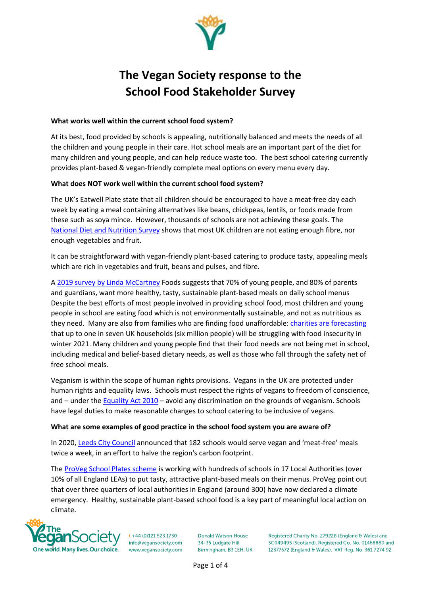

# **The Vegan Society response to the School Food Stakeholder Survey**

#### **What works well within the current school food system?**

At its best, food provided by schools is appealing, nutritionally balanced and meets the needs of all the children and young people in their care. Hot school meals are an important part of the diet for many children and young people, and can help reduce waste too. The best school catering currently provides plant-based & vegan-friendly complete meal options on every menu every day.

## **What does NOT work well within the current school food system?**

The UK's Eatwell Plate state that all children should be encouraged to have a meat-free day each week by eating a meal containing alternatives like beans, chickpeas, lentils, or foods made from these such as soya mince. However, thousands of schools are not achieving these goals. The [National Diet and Nutrition Survey](https://www.gov.uk/government/collections/national-diet-and-nutrition-survey) shows that most UK children are not eating enough fibre, nor enough vegetables and fruit.

It can be straightforward with vegan-friendly plant-based catering to produce tasty, appealing meals which are rich in vegetables and fruit, beans and pulses, and fibre.

A [2019 survey by Linda McCartney](https://plantbasednews.org/lifestyle/70-british-children-want-more-vegan-veggie-school-meals/) Foods suggests that 70% of young people, and 80% of parents and guardians, want more healthy, tasty, sustainable plant-based meals on daily school menus Despite the best efforts of most people involved in providing school food, most children and young people in school are eating food which is not environmentally sustainable, and not as nutritious as they need. Many are also from families who are finding food unaffordable[: charities are forecasting](https://inews.co.uk/news/uk/universal-credit-scrapping-uplift-overnight-benefit-cut-millions) that up to one in seven UK households (six million people) will be struggling with food insecurity in winter 2021. Many children and young people find that their food needs are not being met in school, including medical and belief-based dietary needs, as well as those who fall through the safety net of free school meals.

Veganism is within the scope of human rights provisions. Vegans in the UK are protected under human rights and equality laws. Schools must respect the rights of vegans to freedom of conscience, and – under the [Equality Act 2010](https://www.gov.uk/guidance/equality-act-2010-guidance) – avoid any discrimination on the grounds of veganism. Schools have legal duties to make reasonable changes to school catering to be inclusive of vegans.

#### **What are some examples of good practice in the school food system you are aware of?**

In 2020[, Leeds City Council](https://www.leeds-live.co.uk/news/leeds-news/leeds-school-dinners-climate-change-17558839) announced that 182 schools would serve vegan and 'meat-free' meals twice a week, in an effort to halve the region's carbon footprint.

The [ProVeg School Plates scheme](https://proveg.com/uk/school-plates) is working with hundreds of schools in 17 Local Authorities (over 10% of all England LEAs) to put tasty, attractive plant-based meals on their menus. ProVeg point out that over three quarters of local authorities in England (around 300) have now declared a climate emergency. Healthy, sustainable plant-based school food is a key part of meaningful local action on climate.



 $t + 44 (0)121 523 1730$ info@vegansociety.com www.vegansociety.com

**Donald Watson House** 34-35 Ludgate Hill Birmingham, B3 1EH, UK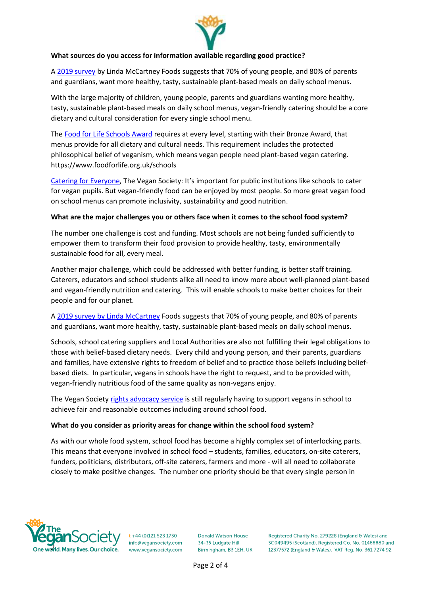

## **What sources do you access for information available regarding good practice?**

A [2019 survey](https://plantbasednews.org/lifestyle/70-british-children-want-more-vegan-veggie-school-meals) by Linda McCartney Foods suggests that 70% of young people, and 80% of parents and guardians, want more healthy, tasty, sustainable plant-based meals on daily school menus.

With the large majority of children, young people, parents and guardians wanting more healthy, tasty, sustainable plant-based meals on daily school menus, vegan-friendly catering should be a core dietary and cultural consideration for every single school menu.

The [Food for Life Schools Award](https://www.foodforlife.org.uk/~/media/files/criteria%20and%20guidance/893-00-ffl-criteria_layout-final-(2).pdf) requires at every level, starting with their Bronze Award, that menus provide for all dietary and cultural needs. This requirement includes the protected philosophical belief of veganism, which means vegan people need plant-based vegan catering. https://www.foodforlife.org.uk/schools

[Catering for Everyone](https://www.vegansociety.com/take-action/campaigns/catering-everyone/information-news/schools), The Vegan Society: It's important for public institutions like schools to cater for vegan pupils. But vegan-friendly food can be enjoyed by most people. So more great vegan food on school menus can promote inclusivity, sustainability and good nutrition.

#### **What are the major challenges you or others face when it comes to the school food system?**

The number one challenge is cost and funding. Most schools are not being funded sufficiently to empower them to transform their food provision to provide healthy, tasty, environmentally sustainable food for all, every meal.

Another major challenge, which could be addressed with better funding, is better staff training. Caterers, educators and school students alike all need to know more about well-planned plant-based and vegan-friendly nutrition and catering. This will enable schools to make better choices for their people and for our planet.

A [2019 survey by Linda McCartney](https://plantbasednews.org/lifestyle/70-british-children-want-more-vegan-veggie-school-meals) Foods suggests that 70% of young people, and 80% of parents and guardians, want more healthy, tasty, sustainable plant-based meals on daily school menus.

Schools, school catering suppliers and Local Authorities are also not fulfilling their legal obligations to those with belief-based dietary needs. Every child and young person, and their parents, guardians and families, have extensive rights to freedom of belief and to practice those beliefs including beliefbased diets. In particular, vegans in schools have the right to request, and to be provided with, vegan-friendly nutritious food of the same quality as non-vegans enjoy.

The Vegan Society [rights advocacy service](https://www.vegansociety.com/get-involved/international-rights-network/what-rights-do-vegans-have) is still regularly having to support vegans in school to achieve fair and reasonable outcomes including around school food.

#### **What do you consider as priority areas for change within the school food system?**

As with our whole food system, school food has become a highly complex set of interlocking parts. This means that everyone involved in school food – students, families, educators, on-site caterers, funders, politicians, distributors, off-site caterers, farmers and more - will all need to collaborate closely to make positive changes. The number one priority should be that every single person in



 $t + 44 (0)121 523 1730$ info@vegansociety.com www.vegansociety.com

**Donald Watson House** 34-35 Ludgate Hill Birmingham, B3 1EH, UK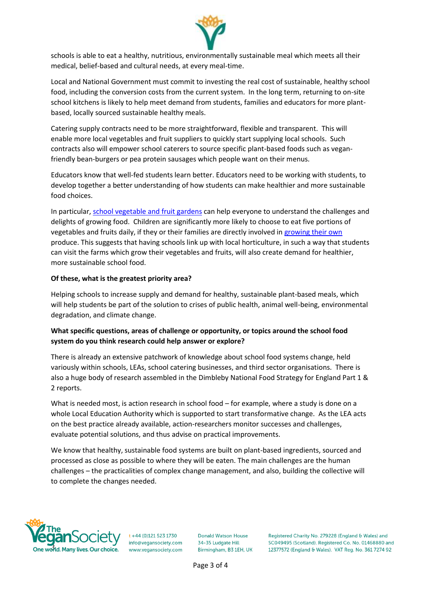

schools is able to eat a healthy, nutritious, environmentally sustainable meal which meets all their medical, belief-based and cultural needs, at every meal-time.

Local and National Government must commit to investing the real cost of sustainable, healthy school food, including the conversion costs from the current system. In the long term, returning to on-site school kitchens is likely to help meet demand from students, families and educators for more plantbased, locally sourced sustainable healthy meals.

Catering supply contracts need to be more straightforward, flexible and transparent. This will enable more local vegetables and fruit suppliers to quickly start supplying local schools. Such contracts also will empower school caterers to source specific plant-based foods such as veganfriendly bean-burgers or pea protein sausages which people want on their menus.

Educators know that well-fed students learn better. Educators need to be working with students, to develop together a better understanding of how students can make healthier and more sustainable food choices.

In particular[, school vegetable and fruit gardens](https://veganorganic.net/garden-advice) can help everyone to understand the challenges and delights of growing food. Children are significantly more likely to choose to eat five portions of vegetables and fruits daily, if they or their families are directly involved in [growing their own](https://gardening.cals.cornell.edu/program-tools/benefits-and-research/key-findings) produce. This suggests that having schools link up with local horticulture, in such a way that students can visit the farms which grow their vegetables and fruits, will also create demand for healthier, more sustainable school food.

#### **Of these, what is the greatest priority area?**

Helping schools to increase supply and demand for healthy, sustainable plant-based meals, which will help students be part of the solution to crises of public health, animal well-being, environmental degradation, and climate change.

# **What specific questions, areas of challenge or opportunity, or topics around the school food system do you think research could help answer or explore?**

There is already an extensive patchwork of knowledge about school food systems change, held variously within schools, LEAs, school catering businesses, and third sector organisations. There is also a huge body of research assembled in the Dimbleby National Food Strategy for England Part 1 & 2 reports.

What is needed most, is action research in school food – for example, where a study is done on a whole Local Education Authority which is supported to start transformative change. As the LEA acts on the best practice already available, action-researchers monitor successes and challenges, evaluate potential solutions, and thus advise on practical improvements.

We know that healthy, sustainable food systems are built on plant-based ingredients, sourced and processed as close as possible to where they will be eaten. The main challenges are the human challenges – the practicalities of complex change management, and also, building the collective will to complete the changes needed.



 $t + 44 (0)121 523 1730$ info@vegansociety.com www.vegansociety.com

**Donald Watson House** 34-35 Ludgate Hill Birmingham, B3 1EH, UK